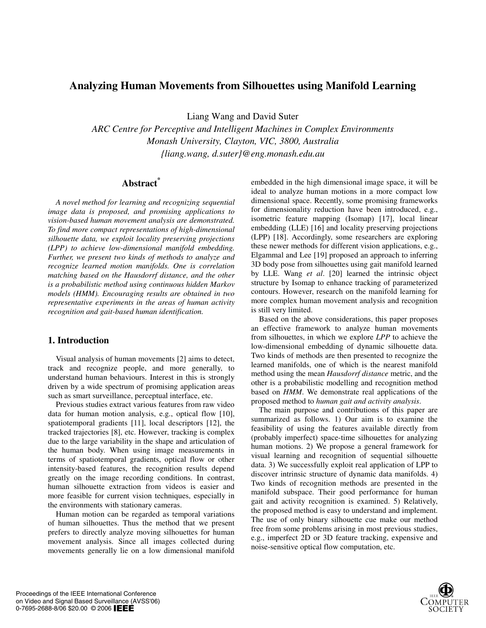# **Analyzing Human Movements from Silhouettes using Manifold Learning**

Liang Wang and David Suter

*ARC Centre for Perceptive and Intelligent Machines in Complex Environments Monash University, Clayton, VIC, 3800, Australia {liang.wang, d.suter}@eng.monash.edu.au*

# **Abstract\***

 *A novel method for learning and recognizing sequential image data is proposed, and promising applications to vision-based human movement analysis are demonstrated. To find more compact representations of high-dimensional silhouette data, we exploit locality preserving projections (LPP) to achieve low-dimensional manifold embedding. Further, we present two kinds of methods to analyze and recognize learned motion manifolds. One is correlation matching based on the Hausdorrf distance, and the other is a probabilistic method using continuous hidden Markov models (HMM). Encouraging results are obtained in two representative experiments in the areas of human activity recognition and gait-based human identification.* 

## **1. Introduction**

 Visual analysis of human movements [2] aims to detect, track and recognize people, and more generally, to understand human behaviours. Interest in this is strongly driven by a wide spectrum of promising application areas such as smart surveillance, perceptual interface, etc.

 Previous studies extract various features from raw video data for human motion analysis, e.g., optical flow [10], spatiotemporal gradients [11], local descriptors [12], the tracked trajectories [8], etc. However, tracking is complex due to the large variability in the shape and articulation of the human body. When using image measurements in terms of spatiotemporal gradients, optical flow or other intensity-based features, the recognition results depend greatly on the image recording conditions. In contrast, human silhouette extraction from videos is easier and more feasible for current vision techniques, especially in the environments with stationary cameras.

 Human motion can be regarded as temporal variations of human silhouettes. Thus the method that we present prefers to directly analyze moving silhouettes for human movement analysis. Since all images collected during movements generally lie on a low dimensional manifold

embedded in the high dimensional image space, it will be ideal to analyze human motions in a more compact low dimensional space. Recently, some promising frameworks for dimensionality reduction have been introduced, e.g., isometric feature mapping (Isomap) [17], local linear embedding (LLE) [16] and locality preserving projections (LPP) [18]. Accordingly, some researchers are exploring these newer methods for different vision applications, e.g., Elgammal and Lee [19] proposed an approach to inferring 3D body pose from silhouettes using gait manifold learned by LLE. Wang *et al*. [20] learned the intrinsic object structure by Isomap to enhance tracking of parameterized contours. However, research on the manifold learning for more complex human movement analysis and recognition is still very limited.

 Based on the above considerations, this paper proposes an effective framework to analyze human movements from silhouettes, in which we explore *LPP* to achieve the low-dimensional embedding of dynamic silhouette data. Two kinds of methods are then presented to recognize the learned manifolds, one of which is the nearest manifold method using the mean *Hausdorrf distance* metric, and the other is a probabilistic modelling and recognition method based on *HMM*. We demonstrate real applications of the proposed method to *human gait and activity analysis*.

 The main purpose and contributions of this paper are summarized as follows. 1) Our aim is to examine the feasibility of using the features available directly from (probably imperfect) space-time silhouettes for analyzing human motions. 2) We propose a general framework for visual learning and recognition of sequential silhouette data. 3) We successfully exploit real application of LPP to discover intrinsic structure of dynamic data manifolds. 4) Two kinds of recognition methods are presented in the manifold subspace. Their good performance for human gait and activity recognition is examined. 5) Relatively, the proposed method is easy to understand and implement. The use of only binary silhouette cue make our method free from some problems arising in most previous studies, e.g., imperfect 2D or 3D feature tracking, expensive and noise-sensitive optical flow computation, etc.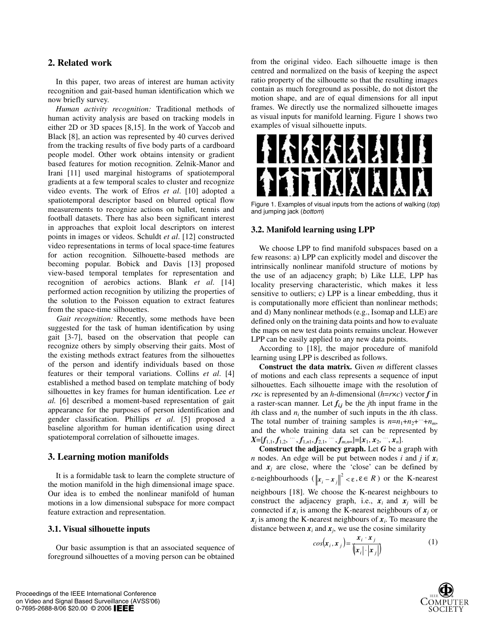## **2. Related work**

 In this paper, two areas of interest are human activity recognition and gait-based human identification which we now briefly survey.

 *Human activity recognition:* Traditional methods of human activity analysis are based on tracking models in either 2D or 3D spaces [8,15]. In the work of Yaccob and Black [8], an action was represented by 40 curves derived from the tracking results of five body parts of a cardboard people model. Other work obtains intensity or gradient based features for motion recognition. Zelnik-Manor and Irani [11] used marginal histograms of spatiotemporal gradients at a few temporal scales to cluster and recognize video events. The work of Efros *et al*. [10] adopted a spatiotemporal descriptor based on blurred optical flow measurements to recognize actions on ballet, tennis and football datasets. There has also been significant interest in approaches that exploit local descriptors on interest points in images or videos. Schuldt *et al*. [12] constructed video representations in terms of local space-time features for action recognition. Silhouette-based methods are becoming popular. Bobick and Davis [13] proposed view-based temporal templates for representation and recognition of aerobics actions. Blank *et al*. [14] performed action recognition by utilizing the properties of the solution to the Poisson equation to extract features from the space-time silhouettes.

Gait recognition: Recently, some methods have been suggested for the task of human identification by using gait [3-7], based on the observation that people can recognize others by simply observing their gaits. Most of the existing methods extract features from the silhouettes of the person and identify individuals based on those features or their temporal variations. Collins *et al*. [4] established a method based on template matching of body silhouettes in key frames for human identification. Lee *et al.* [6] described a moment-based representation of gait appearance for the purposes of person identification and gender classification. Phillips *et al*. [5] proposed a baseline algorithm for human identification using direct spatiotemporal correlation of silhouette images.

## **3. Learning motion manifolds**

 It is a formidable task to learn the complete structure of the motion manifold in the high dimensional image space. Our idea is to embed the nonlinear manifold of human motions in a low dimensional subspace for more compact feature extraction and representation.

### **3.1. Visual silhouette inputs**

 Our basic assumption is that an associated sequence of foreground silhouettes of a moving person can be obtained

from the original video. Each silhouette image is then centred and normalized on the basis of keeping the aspect ratio property of the silhouette so that the resulting images contain as much foreground as possible, do not distort the motion shape, and are of equal dimensions for all input frames. We directly use the normalized silhouette images as visual inputs for manifold learning. Figure 1 shows two examples of visual silhouette inputs.



Figure 1. Examples of visual inputs from the actions of walking (top) and jumping jack (bottom)

## **3.2. Manifold learning using LPP**

 We choose LPP to find manifold subspaces based on a few reasons: a) LPP can explicitly model and discover the intrinsically nonlinear manifold structure of motions by the use of an adjacency graph; b) Like LLE, LPP has locality preserving characteristic, which makes it less sensitive to outliers; c) LPP is a linear embedding, thus it is computationally more efficient than nonlinear methods; and d) Many nonlinear methods (e.g., Isomap and LLE) are defined only on the training data points and how to evaluate the maps on new test data points remains unclear. However LPP can be easily applied to any new data points.

 According to [18], the major procedure of manifold learning using LPP is described as follows.

**Construct the data matrix.** Given *m* different classes of motions and each class represents a sequence of input silhouettes. Each silhouette image with the resolution of *r*×*c* is represented by an *h*-dimensional ( $h=r\times c$ ) vector  $f$  in a raster-scan manner. Let  $f_{i,j}$  be the *j*th input frame in the *i*th class and  $n_i$  the number of such inputs in the *i*th class. The total number of training samples is  $n=n_1+n_2+\cdots+n_m$ , and the whole training data set can be represented by  $X=[f_{1,1}, f_{1,2}, \cdots, f_{1,n1}, f_{2,1}, \cdots, f_{m,nm}]=[x_1, x_2, \cdots, x_n].$ 

**Construct the adjacency graph.** Let *G* be a graph with *n* nodes. An edge will be put between nodes *i* and *j* if  $x_i$ and  $x_j$  are close, where the 'close' can be defined by ε-neighbourhoods  $\left( \left\| \boldsymbol{x}_i - \boldsymbol{x}_j \right\|^2 < \varepsilon$  $\left|\mathbf{x}_i - \mathbf{x}_j\right|^2 < \varepsilon, \varepsilon \in R$ ) or the K-nearest neighbours [18]. We choose the K-nearest neighbours to construct the adjacency graph, i.e.,  $x_i$  and  $x_j$  will be connected if  $x_i$  is among the K-nearest neighbours of  $x_j$  or  $x_j$  is among the K-nearest neighbours of  $x_i$ . To measure the distance between  $x_i$  and  $x_j$ , we use the cosine similarity

$$
cos(\mathbf{x}_i, \mathbf{x}_j) = \frac{\mathbf{x}_i \cdot \mathbf{x}_j}{\left(\mathbf{x}_i \mid \cdot \mid \mathbf{x}_j\mid\right)}
$$
(1)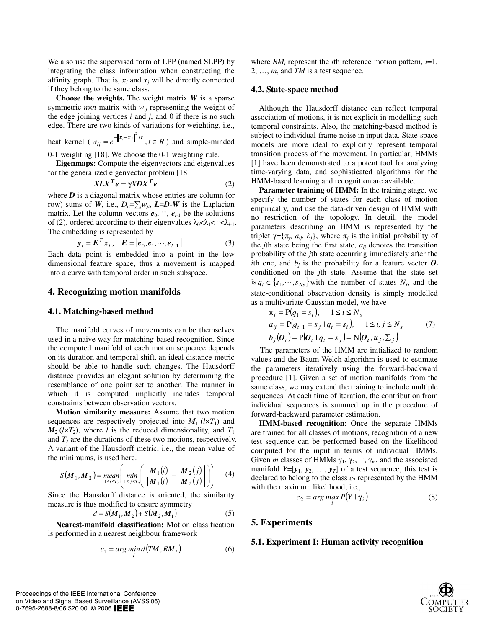We also use the supervised form of LPP (named SLPP) by integrating the class information when constructing the affinity graph. That is,  $x_i$  and  $x_j$  will be directly connected if they belong to the same class.

**Choose the weights.** The weight matrix *W* is a sparse symmetric  $n \times n$  matrix with  $w_{ij}$  representing the weight of the edge joining vertices  $i$  and  $j$ , and  $0$  if there is no such edge. There are two kinds of variations for weighting, i.e.,

heat kernel ( $w_{ij} = e^{-\left\|\mathbf{x}_i - \mathbf{x}_j\right\|^{2}/t}$  $w_{ij} = e^{-\left\|\mathbf{x}_i - \mathbf{x}_j\right\|^2 / t}, t \in R$  ) and simple-minded

0-1 weighting [18]. We choose the 0-1 weighting rule.

**Eigenmaps:** Compute the eigenvectors and eigenvalues for the generalized eigenvector problem [18]

$$
XLXTe = \gamma XDXTe
$$
 (2)

where *D* is a diagonal matrix whose entries are column (or row) sums of *W*, i.e.,  $D_{ii} = \sum_j w_{ji}$ ,  $L = D - W$  is the Laplacian matrix. Let the column vectors  $e_0$ ,  $\cdots$ ,  $e_{l-1}$  be the solutions of (2), ordered according to their eigenvalues  $\lambda_0 < \lambda_1 < \cdots < \lambda_{l-1}$ . The embedding is represented by

$$
\mathbf{y}_i = \mathbf{E}^T \mathbf{x}_i, \quad \mathbf{E} = [\mathbf{e}_0, \mathbf{e}_1, \cdots, \mathbf{e}_{l-1}] \tag{3}
$$

Each data point is embedded into a point in the low dimensional feature space, thus a movement is mapped into a curve with temporal order in such subspace.

## **4. Recognizing motion manifolds**

#### **4.1. Matching-based method**

 The manifold curves of movements can be themselves used in a naive way for matching-based recognition. Since the computed manifold of each motion sequence depends on its duration and temporal shift, an ideal distance metric should be able to handle such changes. The Hausdorff distance provides an elegant solution by determining the resemblance of one point set to another. The manner in which it is computed implicitly includes temporal constraints between observation vectors.

 **Motion similarity measure:** Assume that two motion sequences are respectively projected into  $M_1$  ( $l \times T_1$ ) and  $M_2$  ( $l \times T_2$ ), where *l* is the reduced dimensionality, and  $T_1$ and  $T_2$  are the durations of these two motions, respectively. A variant of the Hausdorff metric, i.e., the mean value of the minimums, is used here.

$$
S(M_1, M_2) = \underset{1 \le i \le T_1}{mean} \left( \underset{1 \le j \le T_2}{min} \left( \left\| \frac{M_1(i)}{\|M_1(i)\|} - \frac{M_2(j)}{\|M_2(j)\|} \right\| \right) \right) \tag{4}
$$

Since the Hausdorff distance is oriented, the similarity measure is thus modified to ensure symmetry

$$
d = S(M_1, M_2) + S(M_2, M_1)
$$
 (5)

 **Nearest-manifold classification:** Motion classification is performed in a nearest neighbour framework

$$
c_1 = \arg\min_i d\big(TM, RM_i\big) \tag{6}
$$

where  $RM_i$  represent the *i*th reference motion pattern,  $i=1$ , 2, …, *m*, and *TM* is a test sequence.

#### **4.2. State-space method**

 Although the Hausdorff distance can reflect temporal association of motions, it is not explicit in modelling such temporal constraints. Also, the matching-based method is subject to individual-frame noise in input data. State-space models are more ideal to explicitly represent temporal transition process of the movement. In particular, HMMs [1] have been demonstrated to a potent tool for analyzing time-varying data, and sophisticated algorithms for the HMM-based learning and recognition are available.

**Parameter training of HMM:** In the training stage, we specify the number of states for each class of motion empirically, and use the data-driven design of HMM with no restriction of the topology. In detail, the model parameters describing an HMM is represented by the triplet  $\gamma = {\pi_j, a_{ij}, b_j}$ , where  $\pi_j$  is the initial probability of the *j*th state being the first state,  $a_{ij}$  denotes the transition probability of the *j*th state occurring immediately after the *i*th one, and  $b_j$  is the probability for a feature vector  $O_t$ conditioned on the *j*th state. Assume that the state set is  $q_t \in \{s_1, \dots, s_{N_s}\}\$  with the number of states  $N_s$ , and the state-conditional observation density is simply modelled as a multivariate Gaussian model, we have

$$
\pi_{i} = P(q_{1} = s_{i}), \quad 1 \leq i \leq N_{s} \na_{ij} = P(q_{t+1} = s_{j} | q_{t} = s_{i}), \quad 1 \leq i, j \leq N_{s} \nb_{j}(O_{t}) = P(O_{t} | q_{t} = s_{j}) = N(O_{t}; u_{j}, \Sigma_{j})
$$
\n(7)

The parameters of the HMM are initialized to random values and the Baum-Welch algorithm is used to estimate the parameters iteratively using the forward-backward procedure [1]. Given a set of motion manifolds from the same class, we may extend the training to include multiple sequences. At each time of iteration, the contribution from individual sequences is summed up in the procedure of forward-backward parameter estimation.

 **HMM-based recognition:** Once the separate HMMs are trained for all classes of motions, recognition of a new test sequence can be performed based on the likelihood computed for the input in terms of individual HMMs. Given *m* classes of HMMs  $\gamma_1$ ,  $\gamma_2$ , "',  $\gamma_m$ , and the associated manifold  $Y=[y_1, y_2, ..., y_T]$  of a test sequence, this test is declared to belong to the class  $c_2$  represented by the HMM with the maximum likelihood, i.e.,

$$
c_2 = \arg\max_i P(Y | \gamma_i)
$$
 (8)

## **5. Experiments**

#### **5.1. Experiment I: Human activity recognition**

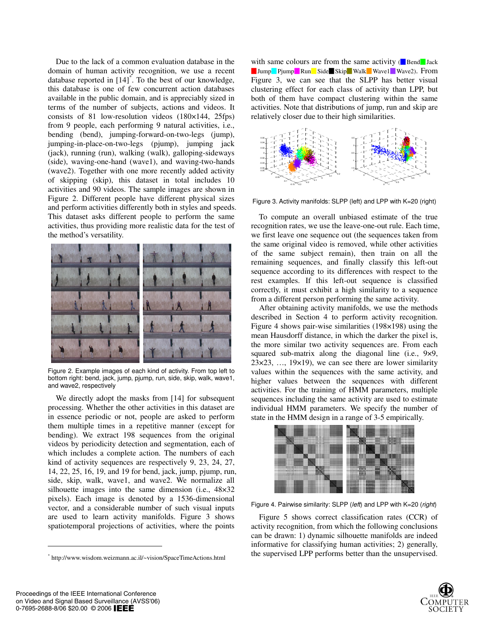Due to the lack of a common evaluation database in the domain of human activity recognition, we use a recent database reported in [14]\* . To the best of our knowledge, this database is one of few concurrent action databases available in the public domain, and is appreciably sized in terms of the number of subjects, actions and videos. It consists of 81 low-resolution videos (180×144, 25fps) from 9 people, each performing 9 natural activities, i.e., bending (bend), jumping-forward-on-two-legs (jump), jumping-in-place-on-two-legs (pjump), jumping jack (jack), running (run), walking (walk), galloping-sideways (side), waving-one-hand (wave1), and waving-two-hands (wave2). Together with one more recently added activity of skipping (skip), this dataset in total includes 10 activities and 90 videos. The sample images are shown in Figure 2. Different people have different physical sizes and perform activities differently both in styles and speeds. This dataset asks different people to perform the same activities, thus providing more realistic data for the test of the method's versatility.



Figure 2. Example images of each kind of activity. From top left to bottom right: bend, jack, jump, pjump, run, side, skip, walk, wave1, and wave2, respectively

 We directly adopt the masks from [14] for subsequent processing. Whether the other activities in this dataset are in essence periodic or not, people are asked to perform them multiple times in a repetitive manner (except for bending). We extract 198 sequences from the original videos by periodicity detection and segmentation, each of which includes a complete action. The numbers of each kind of activity sequences are respectively 9, 23, 24, 27, 14, 22, 25, 16, 19, and 19 for bend, jack, jump, pjump, run, side, skip, walk, wave1, and wave2. We normalize all silhouette images into the same dimension (i.e., 48×32 pixels). Each image is denoted by a 1536-dimensional vector, and a considerable number of such visual inputs are used to learn activity manifolds. Figure 3 shows spatiotemporal projections of activities, where the points

with same colours are from the same activity  $\Box$  Bend $\Box$ Jack **■** Jump Pjump Run Side Skip Walk Wave1 Wave2). From Figure 3, we can see that the SLPP has better visual clustering effect for each class of activity than LPP, but both of them have compact clustering within the same activities. Note that distributions of jump, run and skip are relatively closer due to their high similarities.



Figure 3. Activity manifolds: SLPP (left) and LPP with K=20 (right)

 To compute an overall unbiased estimate of the true recognition rates, we use the leave-one-out rule. Each time, we first leave one sequence out (the sequences taken from the same original video is removed, while other activities of the same subject remain), then train on all the remaining sequences, and finally classify this left-out sequence according to its differences with respect to the rest examples. If this left-out sequence is classified correctly, it must exhibit a high similarity to a sequence from a different person performing the same activity.

 After obtaining activity manifolds, we use the methods described in Section 4 to perform activity recognition. Figure 4 shows pair-wise similarities (198×198) using the mean Hausdorff distance, in which the darker the pixel is, the more similar two activity sequences are. From each squared sub-matrix along the diagonal line (i.e., 9×9, 23×23, …, 19×19), we can see there are lower similarity values within the sequences with the same activity, and higher values between the sequences with different activities. For the training of HMM parameters, multiple sequences including the same activity are used to estimate individual HMM parameters. We specify the number of state in the HMM design in a range of 3-5 empirically.



Figure 4. Pairwise similarity: SLPP (left) and LPP with K=20 (right)

Figure 5 shows correct classification rates (CCR) of activity recognition, from which the following conclusions can be drawn: 1) dynamic silhouette manifolds are indeed informative for classifying human activities; 2) generally, the supervised LPP performs better than the unsupervised.



-

<sup>\*</sup> http://www.wisdom.weizmann.ac.il/~vision/SpaceTimeActions.html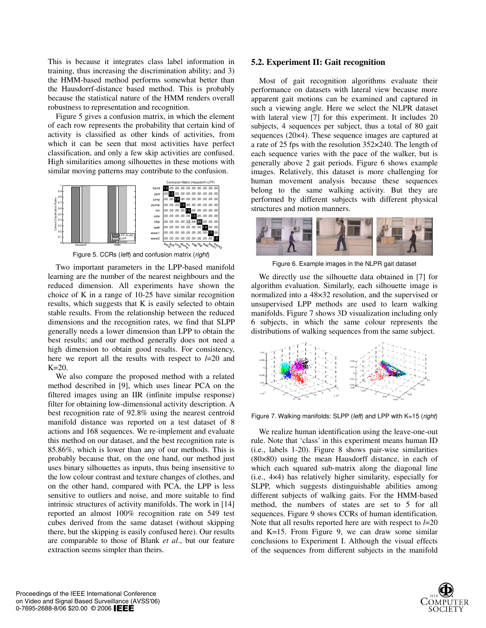This is because it integrates class label information in training, thus increasing the discrimination ability; and 3) the HMM-based method performs somewhat better than the Hausdorrf-distance based method. This is probably because the statistical nature of the HMM renders overall robustness to representation and recognition.

 Figure 5 gives a confusion matrix, in which the element of each row represents the probability that certain kind of activity is classified as other kinds of activities, from which it can be seen that most activities have perfect classification, and only a few skip activities are confused. High similarities among silhouettes in these motions with similar moving patterns may contribute to the confusion.



Figure 5. CCRs (left) and confusion matrix (right)

 Two important parameters in the LPP-based manifold learning are the number of the nearest neighbours and the reduced dimension. All experiments have shown the choice of K in a range of 10-25 have similar recognition results, which suggests that K is easily selected to obtain stable results. From the relationship between the reduced dimensions and the recognition rates, we find that SLPP generally needs a lower dimension than LPP to obtain the best results; and our method generally does not need a high dimension to obtain good results. For consistency, here we report all the results with respect to *l*=20 and  $K=20$ .

 We also compare the proposed method with a related method described in [9], which uses linear PCA on the filtered images using an IIR (infinite impulse response) filter for obtaining low-dimensional activity description. A best recognition rate of 92.8% using the nearest centroid manifold distance was reported on a test dataset of 8 actions and 168 sequences. We re-implement and evaluate this method on our dataset, and the best recognition rate is 85.86%, which is lower than any of our methods. This is probably because that, on the one hand, our method just uses binary silhouettes as inputs, thus being insensitive to the low colour contrast and texture changes of clothes, and on the other hand, compared with PCA, the LPP is less sensitive to outliers and noise, and more suitable to find intrinsic structures of activity manifolds. The work in [14] reported an almost 100% recognition rate on 549 test cubes derived from the same dataset (without skipping there, but the skipping is easily confused here). Our results are comparable to those of Blank *et al*., but our feature extraction seems simpler than theirs.

#### **5.2. Experiment II: Gait recognition**

 Most of gait recognition algorithms evaluate their performance on datasets with lateral view because more apparent gait motions can be examined and captured in such a viewing angle. Here we select the NLPR dataset with lateral view [7] for this experiment. It includes 20 subjects, 4 sequences per subject, thus a total of 80 gait sequences (20×4). These sequence images are captured at a rate of 25 fps with the resolution 352×240. The length of each sequence varies with the pace of the walker, but is generally above 2 gait periods. Figure 6 shows example images. Relatively, this dataset is more challenging for human movement analysis because these sequences belong to the same walking activity. But they are performed by different subjects with different physical structures and motion manners.



Figure 6. Example images in the NLPR gait dataset

We directly use the silhouette data obtained in [7] for algorithm evaluation. Similarly, each silhouette image is normalized into a 48×32 resolution, and the supervised or unsupervised LPP methods are used to learn walking manifolds. Figure 7 shows 3D visualization including only 6 subjects, in which the same colour represents the distributions of walking sequences from the same subject.



Figure 7. Walking manifolds: SLPP (left) and LPP with K=15 (right)

We realize human identification using the leave-one-out rule. Note that 'class' in this experiment means human ID (i.e., labels 1-20). Figure 8 shows pair-wise similarities (80×80) using the mean Hausdorff distance, in each of which each squared sub-matrix along the diagonal line (i.e., 4×4) has relatively higher similarity, especially for SLPP, which suggests distinguishable abilities among different subjects of walking gaits. For the HMM-based method, the numbers of states are set to 5 for all sequences. Figure 9 shows CCRs of human identification. Note that all results reported here are with respect to *l*=20 and K=15. From Figure 9, we can draw some similar conclusions to Experiment I. Although the visual effects of the sequences from different subjects in the manifold